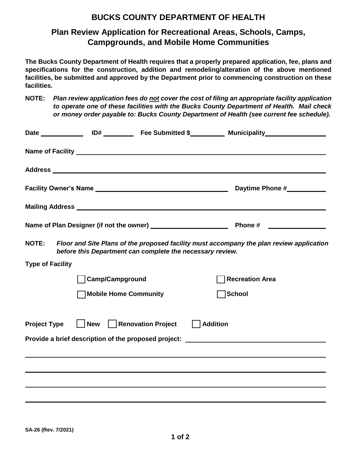## **BUCKS COUNTY DEPARTMENT OF HEALTH**

## **Plan Review Application for Recreational Areas, Schools, Camps, Campgrounds, and Mobile Home Communities**

**The Bucks County Department of Health requires that a properly prepared application, fee, plans and specifications for the construction, addition and remodeling/alteration of the above mentioned facilities, be submitted and approved by the Department prior to commencing construction on these facilities.** 

**NOTE:** *Plan review application fees do not cover the cost of filing an appropriate facility application to operate one of these facilities with the Bucks County Department of Health. Mail check or money order payable to: Bucks County Department of Health (see current fee schedule).*

|                                                                                                                                                                       |                        |  |  | Daytime Phone #___________ |
|-----------------------------------------------------------------------------------------------------------------------------------------------------------------------|------------------------|--|--|----------------------------|
|                                                                                                                                                                       |                        |  |  |                            |
|                                                                                                                                                                       |                        |  |  |                            |
| Floor and Site Plans of the proposed facility must accompany the plan review application<br><b>NOTE:</b><br>before this Department can complete the necessary review. |                        |  |  |                            |
| <b>Type of Facility</b>                                                                                                                                               |                        |  |  |                            |
|                                                                                                                                                                       | <b>Camp/Campground</b> |  |  | <b>Recreation Area</b>     |
|                                                                                                                                                                       | Mobile Home Community  |  |  | │School                    |
| Renovation Project<br><b>Project Type</b><br>  Addition<br>  New                                                                                                      |                        |  |  |                            |
| Provide a brief description of the proposed project: ___________________________                                                                                      |                        |  |  |                            |
|                                                                                                                                                                       |                        |  |  |                            |
|                                                                                                                                                                       |                        |  |  |                            |
|                                                                                                                                                                       |                        |  |  |                            |
|                                                                                                                                                                       |                        |  |  |                            |